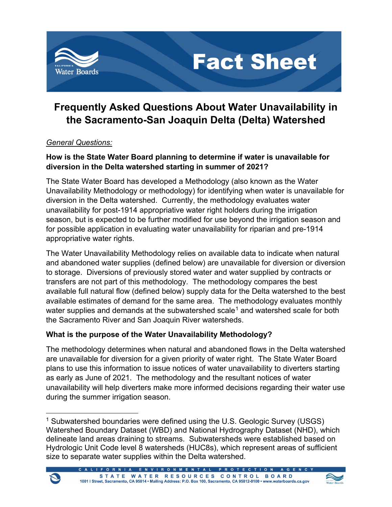

# **Frequently Asked Questions About Water Unavailability in the Sacramento-San Joaquin Delta (Delta) Watershed**

**Fact Sheet** 

## *General Questions:*

 $\blacktriangleright$ 

## **How is the State Water Board planning to determine if water is unavailable for diversion in the Delta watershed starting in summer of 2021?**

The State Water Board has developed a Methodology (also known as the Water Unavailability Methodology or methodology) for identifying when water is unavailable for diversion in the Delta watershed. Currently, the methodology evaluates water unavailability for post-1914 appropriative water right holders during the irrigation season, but is expected to be further modified for use beyond the irrigation season and for possible application in evaluating water unavailability for riparian and pre-1914 appropriative water rights.

The Water Unavailability Methodology relies on available data to indicate when natural and abandoned water supplies (defined below) are unavailable for diversion or diversion to storage. Diversions of previously stored water and water supplied by contracts or transfers are not part of this methodology. The methodology compares the best available full natural flow (defined below) supply data for the Delta watershed to the best available estimates of demand for the same area. The methodology evaluates monthly water supplies and demands at the subwatershed scale<sup>[1](#page-0-0)</sup> and watershed scale for both the Sacramento River and San Joaquin River watersheds.

# **What is the purpose of the Water Unavailability Methodology?**

The methodology determines when natural and abandoned flows in the Delta watershed are unavailable for diversion for a given priority of water right. The State Water Board plans to use this information to issue notices of water unavailability to diverters starting as early as June of 2021. The methodology and the resultant notices of water unavailability will help diverters make more informed decisions regarding their water use during the summer irrigation season.

<span id="page-0-0"></span><sup>&</sup>lt;sup>1</sup> Subwatershed boundaries were defined using the U.S. Geologic Survey (USGS) Watershed Boundary Dataset (WBD) and National Hydrography Dataset (NHD), which delineate land areas draining to streams. Subwatersheds were established based on Hydrologic Unit Code level 8 watersheds (HUC8s), which represent areas of sufficient size to separate water supplies within the Delta watershed.



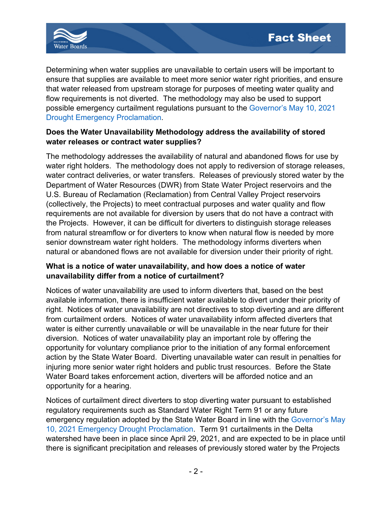

Determining when water supplies are unavailable to certain users will be important to ensure that supplies are available to meet more senior water right priorities, and ensure that water released from upstream storage for purposes of meeting water quality and flow requirements is not diverted. The methodology may also be used to support possible emergency curtailment regulations pursuant to the [Governor's May 10,](https://www.gov.ca.gov/wp-content/uploads/2021/05/5.10.2021-Drought-Proclamation.pdf) 2021 [Drought Emergency Proclamation.](https://www.gov.ca.gov/wp-content/uploads/2021/05/5.10.2021-Drought-Proclamation.pdf)

## **Does the Water Unavailability Methodology address the availability of stored water releases or contract water supplies?**

The methodology addresses the availability of natural and abandoned flows for use by water right holders. The methodology does not apply to rediversion of storage releases, water contract deliveries, or water transfers. Releases of previously stored water by the Department of Water Resources (DWR) from State Water Project reservoirs and the U.S. Bureau of Reclamation (Reclamation) from Central Valley Project reservoirs (collectively, the Projects) to meet contractual purposes and water quality and flow requirements are not available for diversion by users that do not have a contract with the Projects. However, it can be difficult for diverters to distinguish storage releases from natural streamflow or for diverters to know when natural flow is needed by more senior downstream water right holders. The methodology informs diverters when natural or abandoned flows are not available for diversion under their priority of right.

#### **What is a notice of water unavailability, and how does a notice of water unavailability differ from a notice of curtailment?**

Notices of water unavailability are used to inform diverters that, based on the best available information, there is insufficient water available to divert under their priority of right. Notices of water unavailability are not directives to stop diverting and are different from curtailment orders. Notices of water unavailability inform affected diverters that water is either currently unavailable or will be unavailable in the near future for their diversion. Notices of water unavailability play an important role by offering the opportunity for voluntary compliance prior to the initiation of any formal enforcement action by the State Water Board. Diverting unavailable water can result in penalties for injuring more senior water right holders and public trust resources. Before the State Water Board takes enforcement action, diverters will be afforded notice and an opportunity for a hearing.

Notices of curtailment direct diverters to stop diverting water pursuant to established regulatory requirements such as Standard Water Right Term 91 or any future emergency regulation adopted by the State Water Board in line with the [Governor's May](https://www.gov.ca.gov/wp-content/uploads/2021/05/5.10.2021-Drought-Proclamation.pdf)  [10, 2021 Emergency Drought Proclamation.](https://www.gov.ca.gov/wp-content/uploads/2021/05/5.10.2021-Drought-Proclamation.pdf) Term 91 curtailments in the Delta watershed have been in place since April 29, 2021, and are expected to be in place until there is significant precipitation and releases of previously stored water by the Projects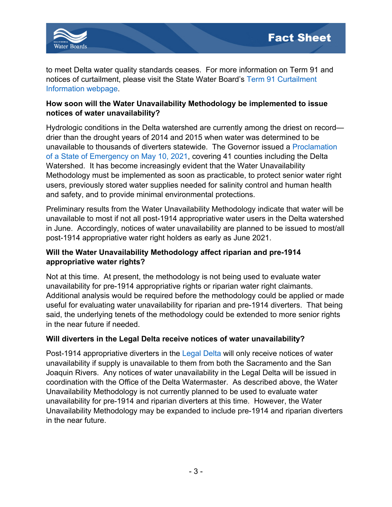

to meet Delta water quality standards ceases. For more information on Term 91 and notices of curtailment, please visit the State Water Board's [Term 91 Curtailment](https://www.waterboards.ca.gov/waterrights/water_issues/programs/bay_delta/term_91/)  [Information webpage.](https://www.waterboards.ca.gov/waterrights/water_issues/programs/bay_delta/term_91/)

#### **How soon will the Water Unavailability Methodology be implemented to issue notices of water unavailability?**

Hydrologic conditions in the Delta watershed are currently among the driest on record drier than the drought years of 2014 and 2015 when water was determined to be unavailable to thousands of diverters statewide. The Governor issued a [Proclamation](https://www.gov.ca.gov/wp-content/uploads/2021/05/5.10.2021-Drought-Proclamation.pdf)  [of a State of Emergency on May 10, 2021,](https://www.gov.ca.gov/wp-content/uploads/2021/05/5.10.2021-Drought-Proclamation.pdf) covering 41 counties including the Delta Watershed. It has become increasingly evident that the Water Unavailability Methodology must be implemented as soon as practicable, to protect senior water right users, previously stored water supplies needed for salinity control and human health and safety, and to provide minimal environmental protections.

Preliminary results from the Water Unavailability Methodology indicate that water will be unavailable to most if not all post-1914 appropriative water users in the Delta watershed in June. Accordingly, notices of water unavailability are planned to be issued to most/all post-1914 appropriative water right holders as early as June 2021.

## **Will the Water Unavailability Methodology affect riparian and pre-1914 appropriative water rights?**

Not at this time. At present, the methodology is not being used to evaluate water unavailability for pre-1914 appropriative rights or riparian water right claimants. Additional analysis would be required before the methodology could be applied or made useful for evaluating water unavailability for riparian and pre-1914 diverters. That being said, the underlying tenets of the methodology could be extended to more senior rights in the near future if needed.

## **Will diverters in the Legal Delta receive notices of water unavailability?**

Post-1914 appropriative diverters in the [Legal Delta](https://www.waterboards.ca.gov/water_issues/programs/delta_watermaster/delta_map/) will only receive notices of water unavailability if supply is unavailable to them from both the Sacramento and the San Joaquin Rivers. Any notices of water unavailability in the Legal Delta will be issued in coordination with the Office of the Delta Watermaster. As described above, the Water Unavailability Methodology is not currently planned to be used to evaluate water unavailability for pre-1914 and riparian diverters at this time. However, the Water Unavailability Methodology may be expanded to include pre-1914 and riparian diverters in the near future.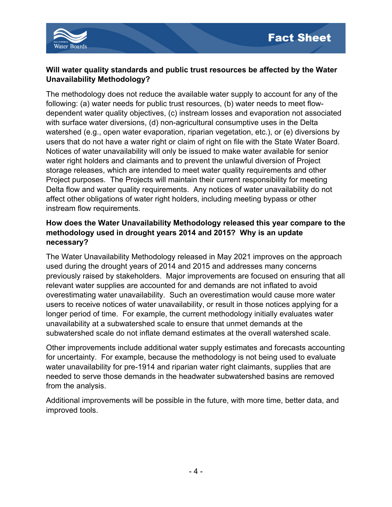

### **Will water quality standards and public trust resources be affected by the Water Unavailability Methodology?**

The methodology does not reduce the available water supply to account for any of the following: (a) water needs for public trust resources, (b) water needs to meet flowdependent water quality objectives, (c) instream losses and evaporation not associated with surface water diversions, (d) non-agricultural consumptive uses in the Delta watershed (e.g., open water evaporation, riparian vegetation, etc.), or (e) diversions by users that do not have a water right or claim of right on file with the State Water Board. Notices of water unavailability will only be issued to make water available for senior water right holders and claimants and to prevent the unlawful diversion of Project storage releases, which are intended to meet water quality requirements and other Project purposes. The Projects will maintain their current responsibility for meeting Delta flow and water quality requirements. Any notices of water unavailability do not affect other obligations of water right holders, including meeting bypass or other instream flow requirements.

## **How does the Water Unavailability Methodology released this year compare to the methodology used in drought years 2014 and 2015? Why is an update necessary?**

The Water Unavailability Methodology released in May 2021 improves on the approach used during the drought years of 2014 and 2015 and addresses many concerns previously raised by stakeholders. Major improvements are focused on ensuring that all relevant water supplies are accounted for and demands are not inflated to avoid overestimating water unavailability. Such an overestimation would cause more water users to receive notices of water unavailability, or result in those notices applying for a longer period of time. For example, the current methodology initially evaluates water unavailability at a subwatershed scale to ensure that unmet demands at the subwatershed scale do not inflate demand estimates at the overall watershed scale.

Other improvements include additional water supply estimates and forecasts accounting for uncertainty. For example, because the methodology is not being used to evaluate water unavailability for pre-1914 and riparian water right claimants, supplies that are needed to serve those demands in the headwater subwatershed basins are removed from the analysis.

Additional improvements will be possible in the future, with more time, better data, and improved tools.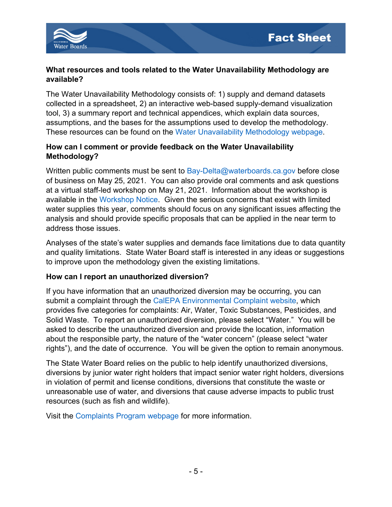

### **What resources and tools related to the Water Unavailability Methodology are available?**

The Water Unavailability Methodology consists of: 1) supply and demand datasets collected in a spreadsheet, 2) an interactive web-based supply-demand visualization tool, 3) a summary report and technical appendices, which explain data sources, assumptions, and the bases for the assumptions used to develop the methodology. These resources can be found on the [Water Unavailability Methodology](https://www.waterboards.ca.gov/waterrights/water_issues/programs/drought/drought_tools_methods/delta_method.html) webpage.

## **How can I comment or provide feedback on the Water Unavailability Methodology?**

Written public comments must be sent to [Bay-Delta@waterboards.ca.gov](mailto:Bay-Delta@waterboards.ca.gov) before close of business on May 25, 2021. You can also provide oral comments and ask questions at a virtual staff-led workshop on May 21, 2021. Information about the workshop is available in the [Workshop Notice.](https://www.waterboards.ca.gov/board_info/calendar/docs/2021/may/notice_methodology_deltawatershed.pdf) Given the serious concerns that exist with limited water supplies this year, comments should focus on any significant issues affecting the analysis and should provide specific proposals that can be applied in the near term to address those issues.

Analyses of the state's water supplies and demands face limitations due to data quantity and quality limitations. State Water Board staff is interested in any ideas or suggestions to improve upon the methodology given the existing limitations.

## **How can I report an unauthorized diversion?**

If you have information that an unauthorized diversion may be occurring, you can submit a complaint through the [CalEPA Environmental Complaint website,](https://calepacomplaints.secure.force.com/complaints/) which provides five categories for complaints: Air, Water, Toxic Substances, Pesticides, and Solid Waste. To report an unauthorized diversion, please select "Water." You will be asked to describe the unauthorized diversion and provide the location, information about the responsible party, the nature of the "water concern" (please select "water rights"), and the date of occurrence. You will be given the option to remain anonymous.

The State Water Board relies on the public to help identify unauthorized diversions, diversions by junior water right holders that impact senior water right holders, diversions in violation of permit and license conditions, diversions that constitute the waste or unreasonable use of water, and diversions that cause adverse impacts to public trust resources (such as fish and wildlife).

Visit the [Complaints Program webpage](https://www.waterboards.ca.gov/waterrights/water_issues/programs/enforcement/complaints/) for more information.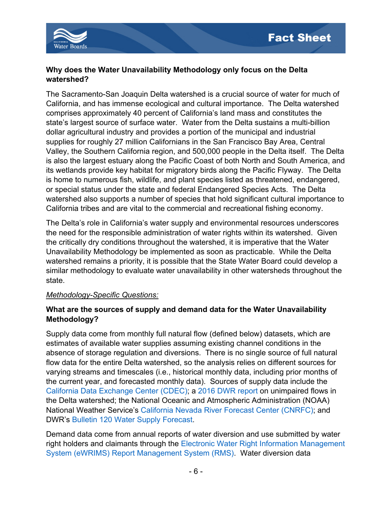

#### **Why does the Water Unavailability Methodology only focus on the Delta watershed?**

The Sacramento-San Joaquin Delta watershed is a crucial source of water for much of California, and has immense ecological and cultural importance. The Delta watershed comprises approximately 40 percent of California's land mass and constitutes the state's largest source of surface water. Water from the Delta sustains a multi-billion dollar agricultural industry and provides a portion of the municipal and industrial supplies for roughly 27 million Californians in the San Francisco Bay Area, Central Valley, the Southern California region, and 500,000 people in the Delta itself. The Delta is also the largest estuary along the Pacific Coast of both North and South America, and its wetlands provide key habitat for migratory birds along the Pacific Flyway. The Delta is home to numerous fish, wildlife, and plant species listed as threatened, endangered, or special status under the state and federal Endangered Species Acts. The Delta watershed also supports a number of species that hold significant cultural importance to California tribes and are vital to the commercial and recreational fishing economy.

The Delta's role in California's water supply and environmental resources underscores the need for the responsible administration of water rights within its watershed. Given the critically dry conditions throughout the watershed, it is imperative that the Water Unavailability Methodology be implemented as soon as practicable. While the Delta watershed remains a priority, it is possible that the State Water Board could develop a similar methodology to evaluate water unavailability in other watersheds throughout the state.

#### *Methodology-Specific Questions:*

#### **What are the sources of supply and demand data for the Water Unavailability Methodology?**

Supply data come from monthly full natural flow (defined below) datasets, which are estimates of available water supplies assuming existing channel conditions in the absence of storage regulation and diversions. There is no single source of full natural flow data for the entire Delta watershed, so the analysis relies on different sources for varying streams and timescales (i.e., historical monthly data, including prior months of the current year, and forecasted monthly data). Sources of supply data include the [California Data Exchange Center \(CDEC\);](https://cdec.water.ca.gov/) a [2016 DWR](https://data.ca.gov/dataset/estimates-of-natural-and-unimpaired-flows-for-the-central-valley-of-california-wy-1922-2014) report on unimpaired flows in the Delta watershed; the National Oceanic and Atmospheric Administration (NOAA) National Weather Service's [California Nevada River Forecast Center \(CNRFC\);](https://www.cnrfc.noaa.gov/) and DWR's Bulletin 120 [Water Supply Forecast.](https://cdec.water.ca.gov/snow/bulletin120/index2.html)

Demand data come from annual reports of water diversion and use submitted by water right holders and claimants through the [Electronic Water Right Information Management](https://www.waterboards.ca.gov/waterrights/water_issues/programs/ewrims/)  [System \(eWRIMS\) Report Management System \(RMS\).](https://www.waterboards.ca.gov/waterrights/water_issues/programs/ewrims/) Water diversion data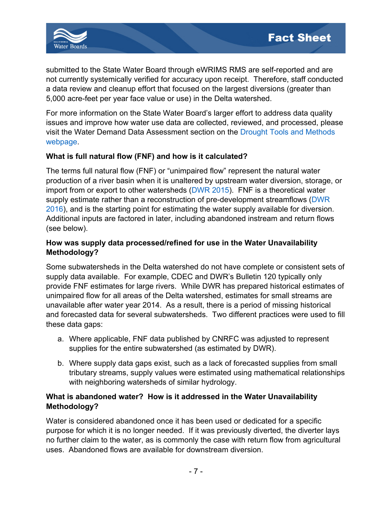

submitted to the State Water Board through eWRIMS RMS are self-reported and are not currently systemically verified for accuracy upon receipt. Therefore, staff conducted a data review and cleanup effort that focused on the largest diversions (greater than 5,000 acre-feet per year face value or use) in the Delta watershed.

For more information on the State Water Board's larger effort to address data quality issues and improve how water use data are collected, reviewed, and processed, please visit the Water Demand Data Assessment section on the [Drought Tools and Methods](https://www.waterboards.ca.gov/waterrights/water_issues/programs/drought/drought_tools_methods/)  [webpage.](https://www.waterboards.ca.gov/waterrights/water_issues/programs/drought/drought_tools_methods/)

## **What is full natural flow (FNF) and how is it calculated?**

The terms full natural flow (FNF) or "unimpaired flow" represent the natural water production of a river basin when it is unaltered by upstream water diversion, storage, or import from or export to other watersheds [\(DWR 2015\)](https://info.water.ca.gov/snow/current/flow/fnfinfo.html). FNF is a theoretical water supply estimate rather than a reconstruction of pre-development streamflows [\(DWR](https://data.ca.gov/dataset/estimates-of-natural-and-unimpaired-flows-for-the-central-valley-of-california-wy-1922-2014)  [2016\)](https://data.ca.gov/dataset/estimates-of-natural-and-unimpaired-flows-for-the-central-valley-of-california-wy-1922-2014), and is the starting point for estimating the water supply available for diversion. Additional inputs are factored in later, including abandoned instream and return flows (see below).

#### **How was supply data processed/refined for use in the Water Unavailability Methodology?**

Some subwatersheds in the Delta watershed do not have complete or consistent sets of supply data available. For example, CDEC and DWR's Bulletin 120 typically only provide FNF estimates for large rivers. While DWR has prepared historical estimates of unimpaired flow for all areas of the Delta watershed, estimates for small streams are unavailable after water year 2014. As a result, there is a period of missing historical and forecasted data for several subwatersheds. Two different practices were used to fill these data gaps:

- a. Where applicable, FNF data published by CNRFC was adjusted to represent supplies for the entire subwatershed (as estimated by DWR).
- b. Where supply data gaps exist, such as a lack of forecasted supplies from small tributary streams, supply values were estimated using mathematical relationships with neighboring watersheds of similar hydrology.

## **What is abandoned water? How is it addressed in the Water Unavailability Methodology?**

Water is considered abandoned once it has been used or dedicated for a specific purpose for which it is no longer needed. If it was previously diverted, the diverter lays no further claim to the water, as is commonly the case with return flow from agricultural uses. Abandoned flows are available for downstream diversion.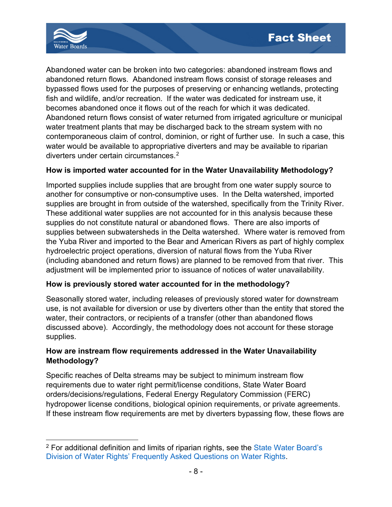

Abandoned water can be broken into two categories: abandoned instream flows and abandoned return flows. Abandoned instream flows consist of storage releases and bypassed flows used for the purposes of preserving or enhancing wetlands, protecting fish and wildlife, and/or recreation. If the water was dedicated for instream use, it becomes abandoned once it flows out of the reach for which it was dedicated. Abandoned return flows consist of water returned from irrigated agriculture or municipal water treatment plants that may be discharged back to the stream system with no contemporaneous claim of control, dominion, or right of further use. In such a case, this water would be available to appropriative diverters and may be available to riparian diverters under certain circumstances. [2](#page-7-0)

#### **How is imported water accounted for in the Water Unavailability Methodology?**

Imported supplies include supplies that are brought from one water supply source to another for consumptive or non-consumptive uses. In the Delta watershed, imported supplies are brought in from outside of the watershed, specifically from the Trinity River. These additional water supplies are not accounted for in this analysis because these supplies do not constitute natural or abandoned flows. There are also imports of supplies between subwatersheds in the Delta watershed. Where water is removed from the Yuba River and imported to the Bear and American Rivers as part of highly complex hydroelectric project operations, diversion of natural flows from the Yuba River (including abandoned and return flows) are planned to be removed from that river. This adjustment will be implemented prior to issuance of notices of water unavailability.

#### **How is previously stored water accounted for in the methodology?**

Seasonally stored water, including releases of previously stored water for downstream use, is not available for diversion or use by diverters other than the entity that stored the water, their contractors, or recipients of a transfer (other than abandoned flows discussed above). Accordingly, the methodology does not account for these storage supplies.

## **How are instream flow requirements addressed in the Water Unavailability Methodology?**

Specific reaches of Delta streams may be subject to minimum instream flow requirements due to water right permit/license conditions, State Water Board orders/decisions/regulations, Federal Energy Regulatory Commission (FERC) hydropower license conditions, biological opinion requirements, or private agreements. If these instream flow requirements are met by diverters bypassing flow, these flows are

<span id="page-7-0"></span><sup>2</sup> For additional definition and limits of riparian rights, see the [State Water Board's](https://www.waterboards.ca.gov/waterrights/board_info/faqs.html#:%7E:text=A%20riparian%20water%20right%20is,Management%20manages%20public%20domain%20land.)  Division of Water Rights' [Frequently Asked Questions on Water Rights.](https://www.waterboards.ca.gov/waterrights/board_info/faqs.html#:%7E:text=A%20riparian%20water%20right%20is,Management%20manages%20public%20domain%20land.)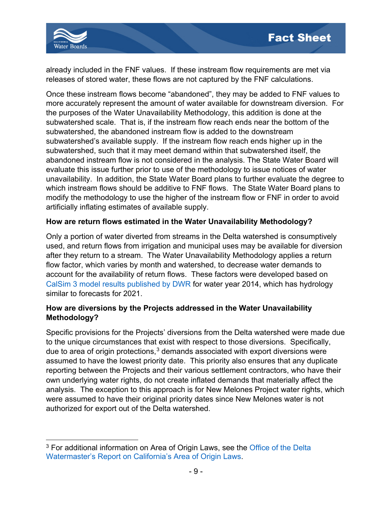

already included in the FNF values. If these instream flow requirements are met via releases of stored water, these flows are not captured by the FNF calculations.

Once these instream flows become "abandoned", they may be added to FNF values to more accurately represent the amount of water available for downstream diversion. For the purposes of the Water Unavailability Methodology, this addition is done at the subwatershed scale. That is, if the instream flow reach ends near the bottom of the subwatershed, the abandoned instream flow is added to the downstream subwatershed's available supply. If the instream flow reach ends higher up in the subwatershed, such that it may meet demand within that subwatershed itself, the abandoned instream flow is not considered in the analysis. The State Water Board will evaluate this issue further prior to use of the methodology to issue notices of water unavailability. In addition, the State Water Board plans to further evaluate the degree to which instream flows should be additive to FNF flows. The State Water Board plans to modify the methodology to use the higher of the instream flow or FNF in order to avoid artificially inflating estimates of available supply.

#### **How are return flows estimated in the Water Unavailability Methodology?**

Only a portion of water diverted from streams in the Delta watershed is consumptively used, and return flows from irrigation and municipal uses may be available for diversion after they return to a stream. The Water Unavailability Methodology applies a return flow factor, which varies by month and watershed, to decrease water demands to account for the availability of return flows. These factors were developed based on [CalSim 3 model results published by DWR](https://water.ca.gov/Library/Modeling-and-Analysis/Central-Valley-models-and-tools/CalSim-3) for water year 2014, which has hydrology similar to forecasts for 2021.

## **How are diversions by the Projects addressed in the Water Unavailability Methodology?**

Specific provisions for the Projects' diversions from the Delta watershed were made due to the unique circumstances that exist with respect to those diversions. Specifically, due to area of origin protections, $^3$  $^3$  demands associated with export diversions were assumed to have the lowest priority date. This priority also ensures that any duplicate reporting between the Projects and their various settlement contractors, who have their own underlying water rights, do not create inflated demands that materially affect the analysis. The exception to this approach is for New Melones Project water rights, which were assumed to have their original priority dates since New Melones water is not authorized for export out of the Delta watershed.

<span id="page-8-0"></span><sup>&</sup>lt;sup>3</sup> For additional information on Area of Origin Laws, see the Office of the Delta [Watermaster's Report on California's Area of Origin Laws.](https://www.waterboards.ca.gov/board_info/agendas/2013/oct/100813_7origin.pdf)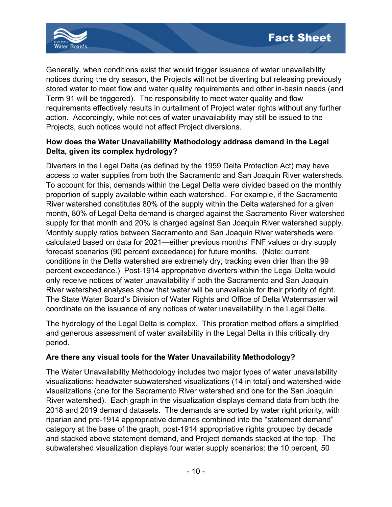

Generally, when conditions exist that would trigger issuance of water unavailability notices during the dry season, the Projects will not be diverting but releasing previously stored water to meet flow and water quality requirements and other in-basin needs (and Term 91 will be triggered). The responsibility to meet water quality and flow requirements effectively results in curtailment of Project water rights without any further action. Accordingly, while notices of water unavailability may still be issued to the Projects, such notices would not affect Project diversions.

## **How does the Water Unavailability Methodology address demand in the Legal Delta, given its complex hydrology?**

Diverters in the Legal Delta (as defined by the 1959 Delta Protection Act) may have access to water supplies from both the Sacramento and San Joaquin River watersheds. To account for this, demands within the Legal Delta were divided based on the monthly proportion of supply available within each watershed. For example, if the Sacramento River watershed constitutes 80% of the supply within the Delta watershed for a given month, 80% of Legal Delta demand is charged against the Sacramento River watershed supply for that month and 20% is charged against San Joaquin River watershed supply. Monthly supply ratios between Sacramento and San Joaquin River watersheds were calculated based on data for 2021—either previous months' FNF values or dry supply forecast scenarios (90 percent exceedance) for future months. (Note: current conditions in the Delta watershed are extremely dry, tracking even drier than the 99 percent exceedance.) Post-1914 appropriative diverters within the Legal Delta would only receive notices of water unavailability if both the Sacramento and San Joaquin River watershed analyses show that water will be unavailable for their priority of right. The State Water Board's Division of Water Rights and Office of Delta Watermaster will coordinate on the issuance of any notices of water unavailability in the Legal Delta.

The hydrology of the Legal Delta is complex. This proration method offers a simplified and generous assessment of water availability in the Legal Delta in this critically dry period.

## **Are there any visual tools for the Water Unavailability Methodology?**

The Water Unavailability Methodology includes two major types of water unavailability visualizations: headwater subwatershed visualizations (14 in total) and watershed-wide visualizations (one for the Sacramento River watershed and one for the San Joaquin River watershed). Each graph in the visualization displays demand data from both the 2018 and 2019 demand datasets. The demands are sorted by water right priority, with riparian and pre-1914 appropriative demands combined into the "statement demand" category at the base of the graph, post-1914 appropriative rights grouped by decade and stacked above statement demand, and Project demands stacked at the top. The subwatershed visualization displays four water supply scenarios: the 10 percent, 50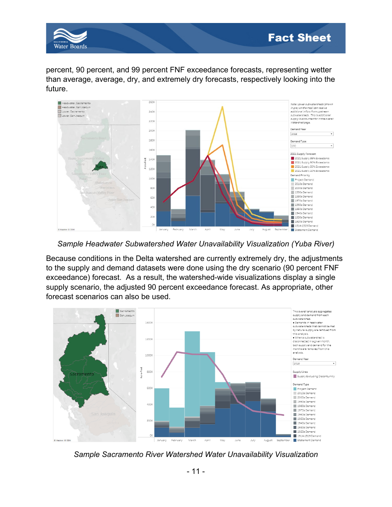

percent, 90 percent, and 99 percent FNF exceedance forecasts, representing wetter than average, average, dry, and extremely dry forecasts, respectively looking into the future.



*Sample Headwater Subwatershed Water Unavailability Visualization (Yuba River)*

Because conditions in the Delta watershed are currently extremely dry, the adjustments to the supply and demand datasets were done using the dry scenario (90 percent FNF exceedance) forecast. As a result, the watershed-wide visualizations display a single supply scenario, the adjusted 90 percent exceedance forecast. As appropriate, other forecast scenarios can also be used.



*Sample Sacramento River Watershed Water Unavailability Visualization*